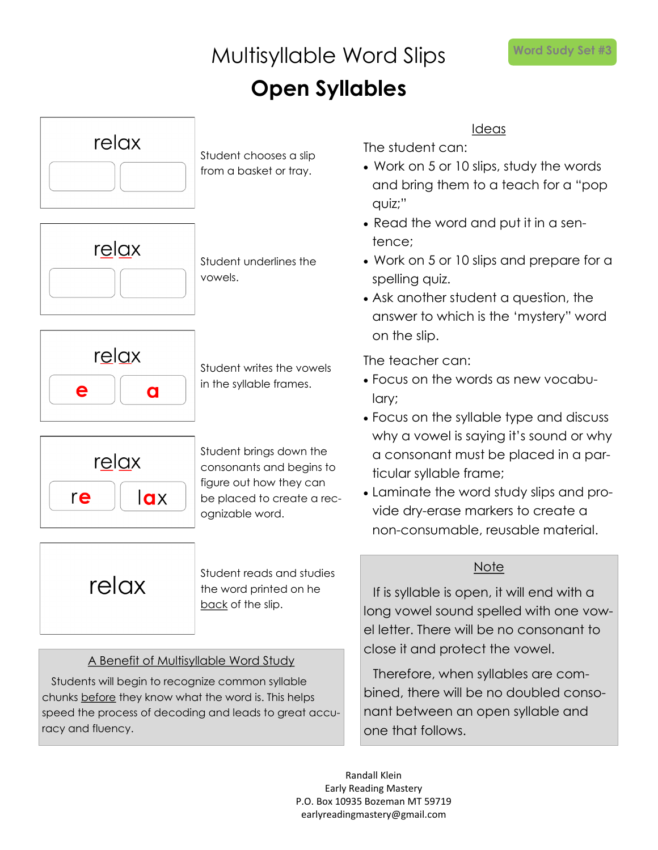### Multisyllable Word Slips **Open Syllables**

relax Student chooses a slip from a basket or tray. relax Student underlines the vowels. relax Student writes the vowels in the syllable frames. е a Student brings down the relax consonants and begins to figure out how they can re  $\overline{a}$ be placed to create a recognizable word. Student reads and studies relax the word printed on he back of the slip.

### A Benefit of Multisyllable Word Study

Students will begin to recognize common syllable chunks before they know what the word is. This helps speed the process of decoding and leads to great accuracy and fluency.

Ideas

The student can:

- Work on 5 or 10 slips, study the words and bring them to a teach for a "pop quiz;"
- Read the word and put it in a sentence;
- Work on 5 or 10 slips and prepare for a spelling quiz.
- Ask another student a question, the answer to which is the 'mystery" word on the slip.

The teacher can:

- Focus on the words as new vocabulary;
- Focus on the syllable type and discuss why a vowel is saying it's sound or why a consonant must be placed in a particular syllable frame;
- Laminate the word study slips and provide dry-erase markers to create a non-consumable, reusable material.

### **Note**

If is syllable is open, it will end with a long vowel sound spelled with one vowel letter. There will be no consonant to close it and protect the vowel.

Therefore, when syllables are combined, there will be no doubled consonant between an open syllable and one that follows.

Randall Klein Early Reading Mastery P.O. Box 10935 Bozeman MT 59719 earlyreadingmastery@gmail.com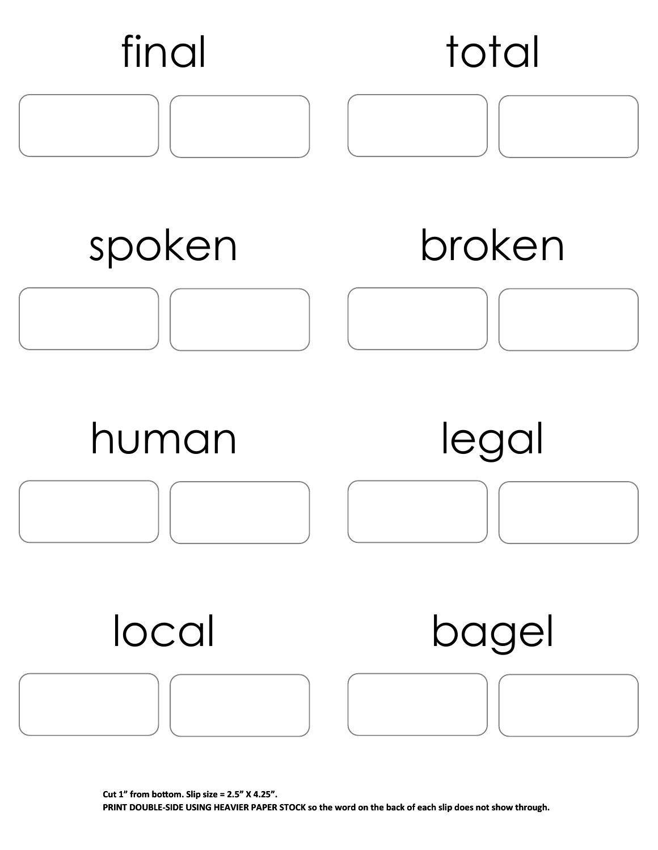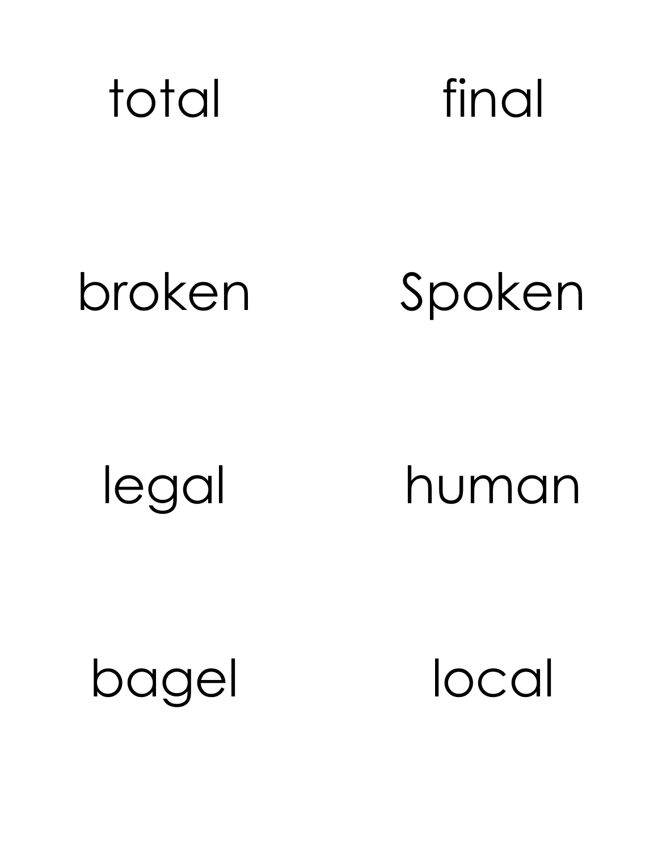

# broken Spoken

legal human

bagel local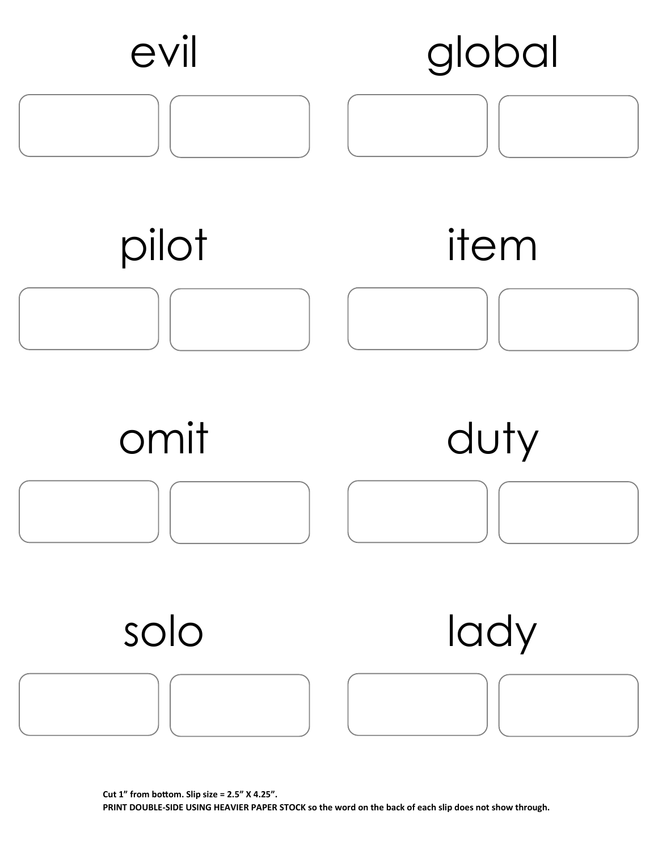

**Cut 1" from bottom. Slip size = 2.5" X 4.25". PRINT DOUBLE-SIDE USING HEAVIER PAPER STOCK so the word on the back of each slip does not show through.**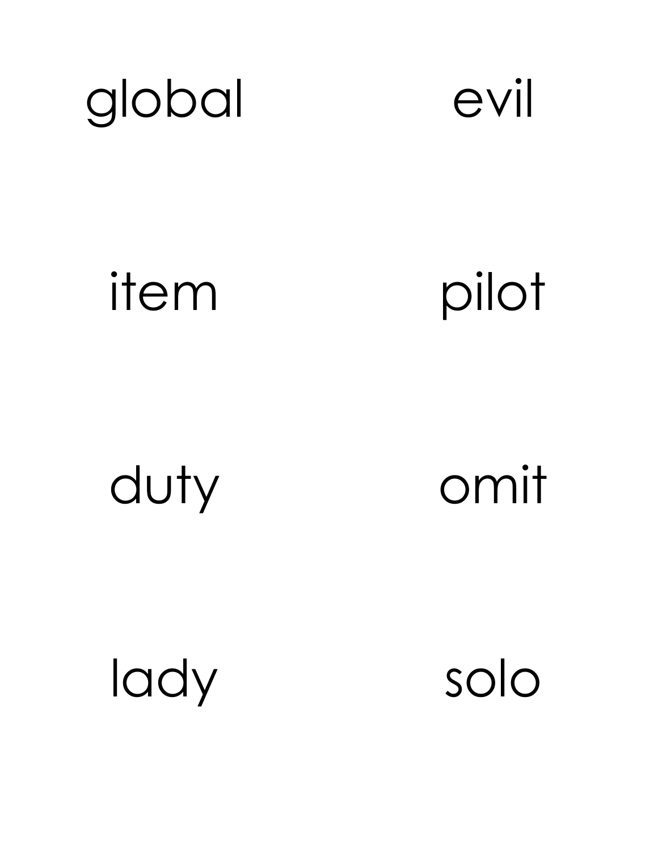



item pilot

duty omit

lady solo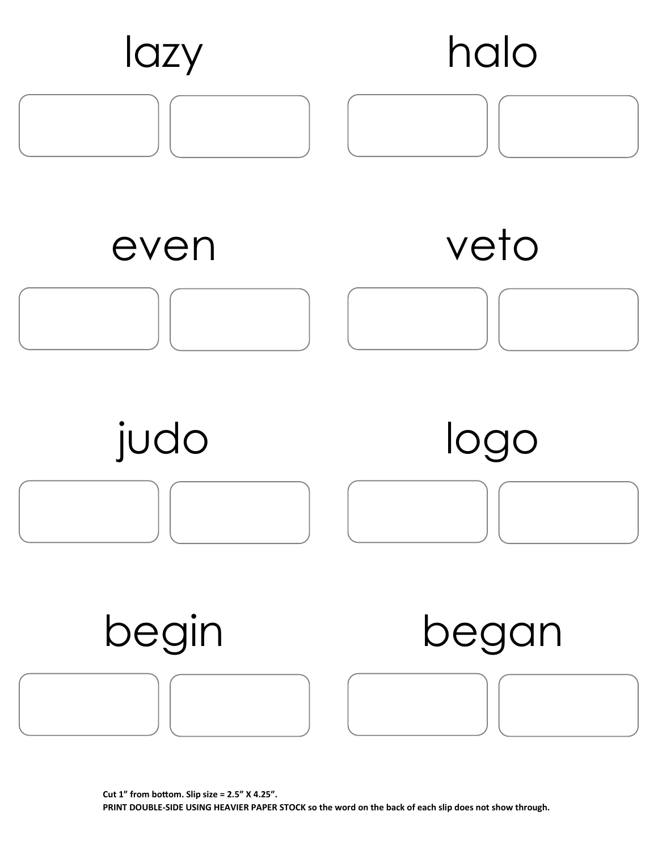

**Cut 1" from bottom. Slip size = 2.5" X 4.25". PRINT DOUBLE-SIDE USING HEAVIER PAPER STOCK so the word on the back of each slip does not show through.**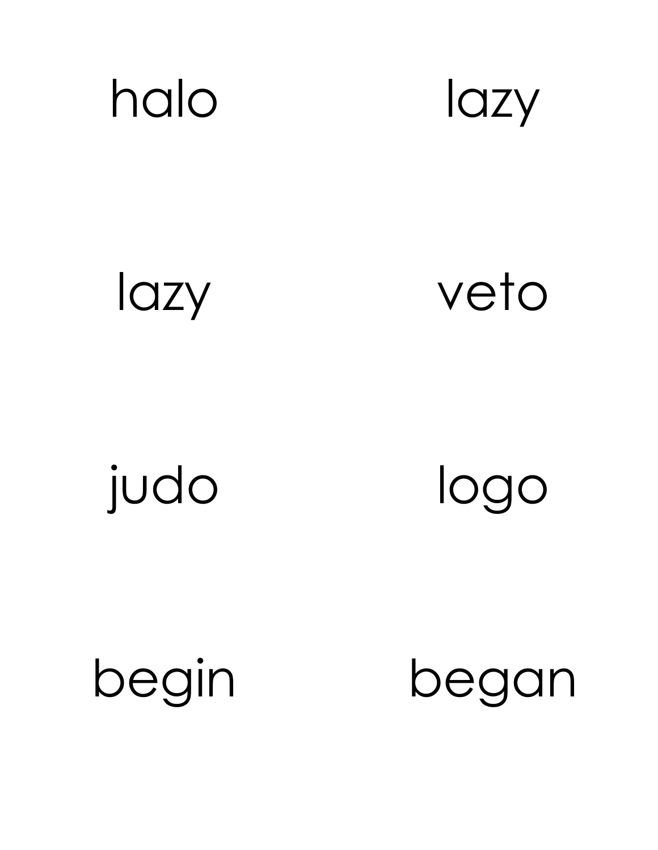



lazy

veto

judo

logo

begin

began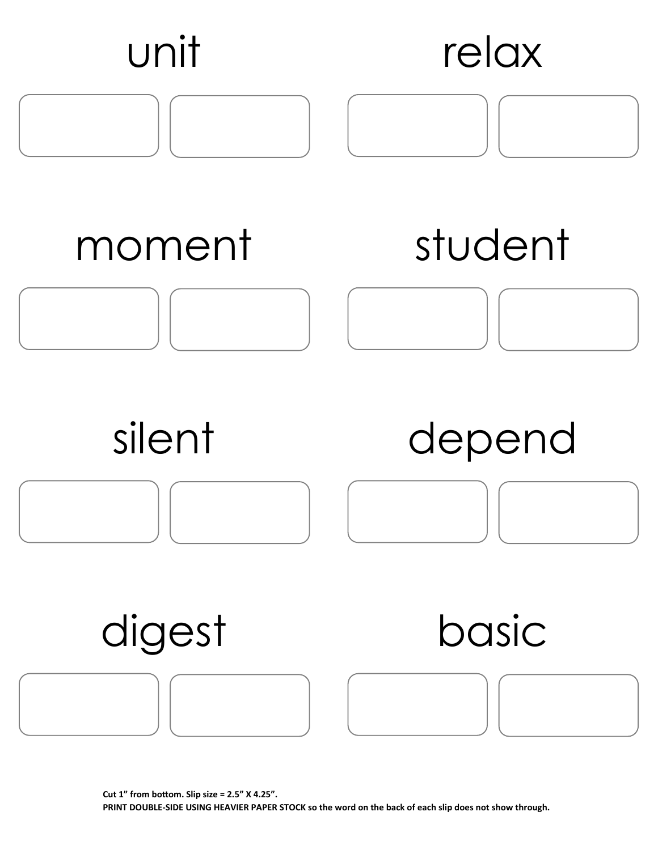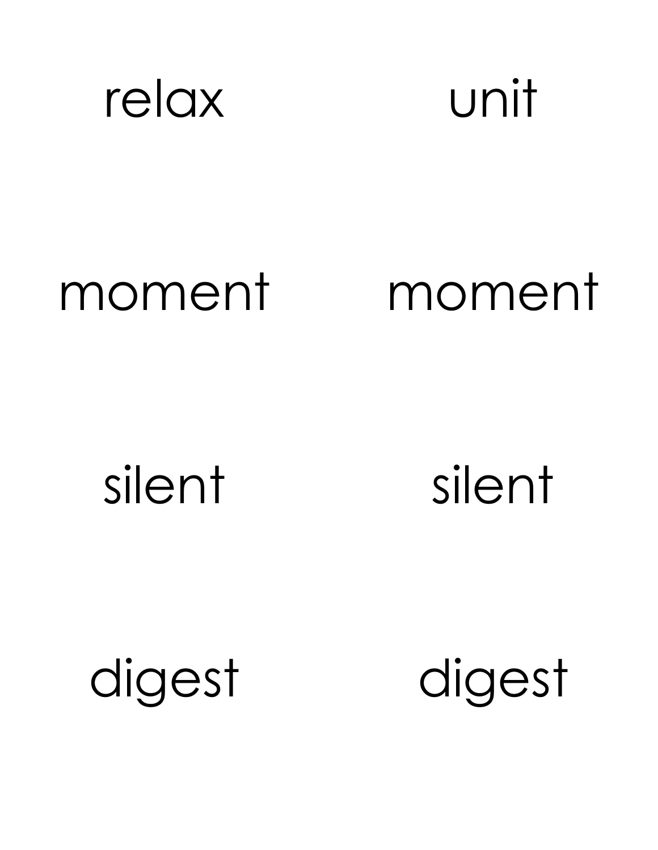

## moment moment

silent silent

digest digest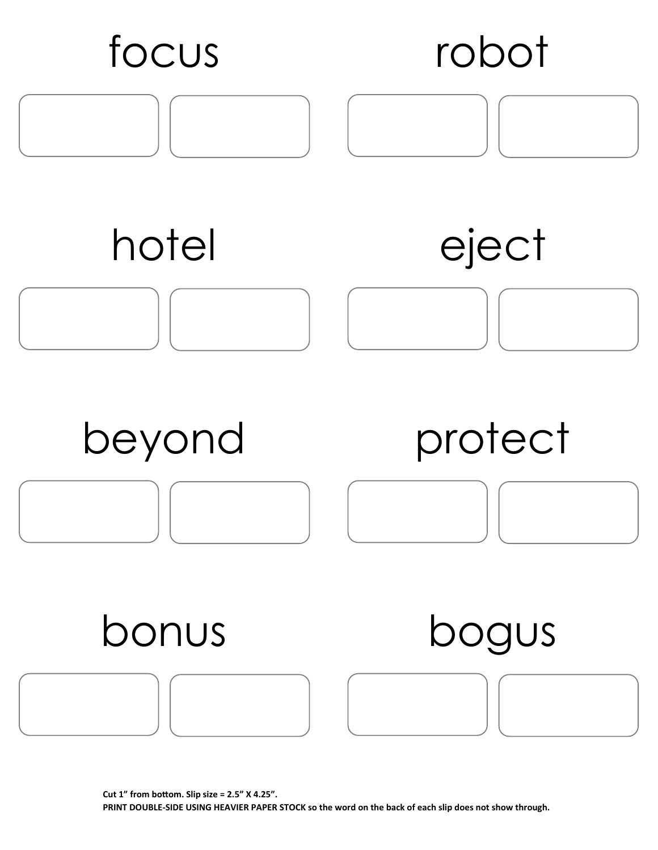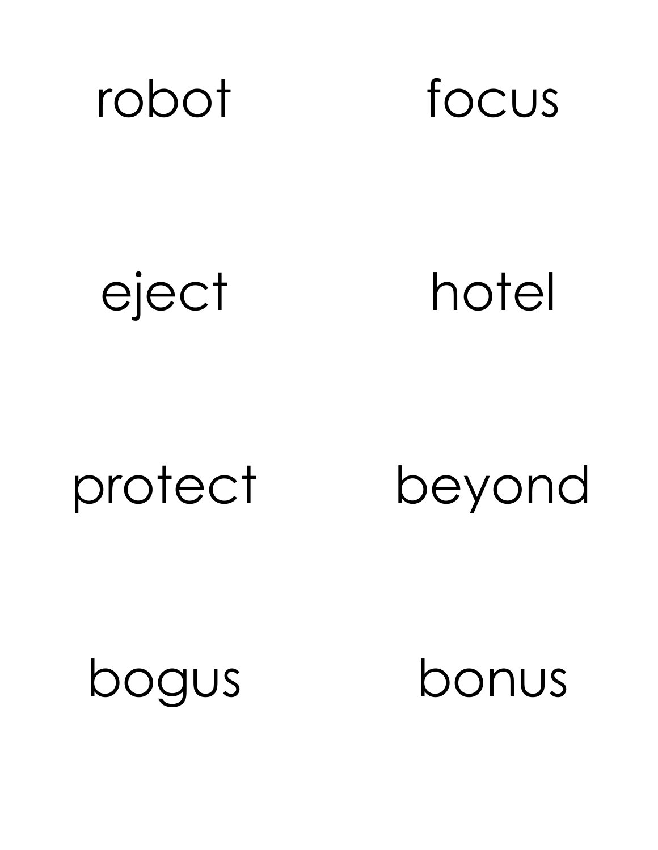

eject hotel

protect beyond

bogus bonus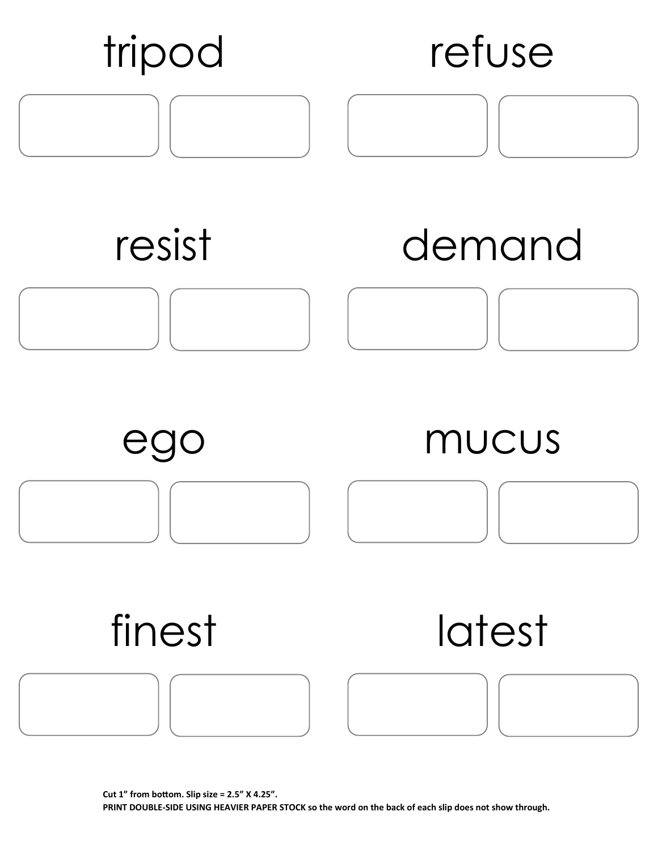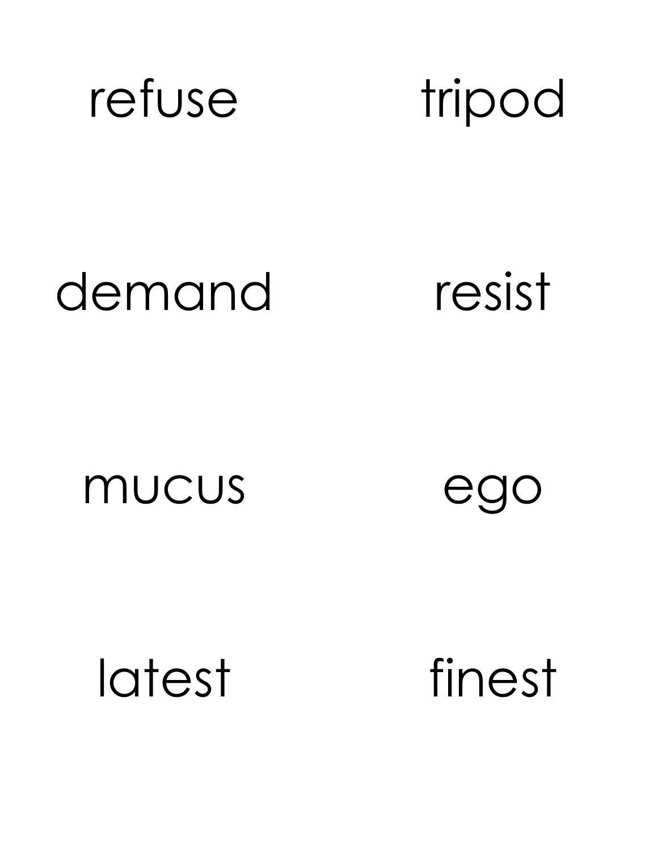

tripod

## demand

resist

mucus

ego

latest

finest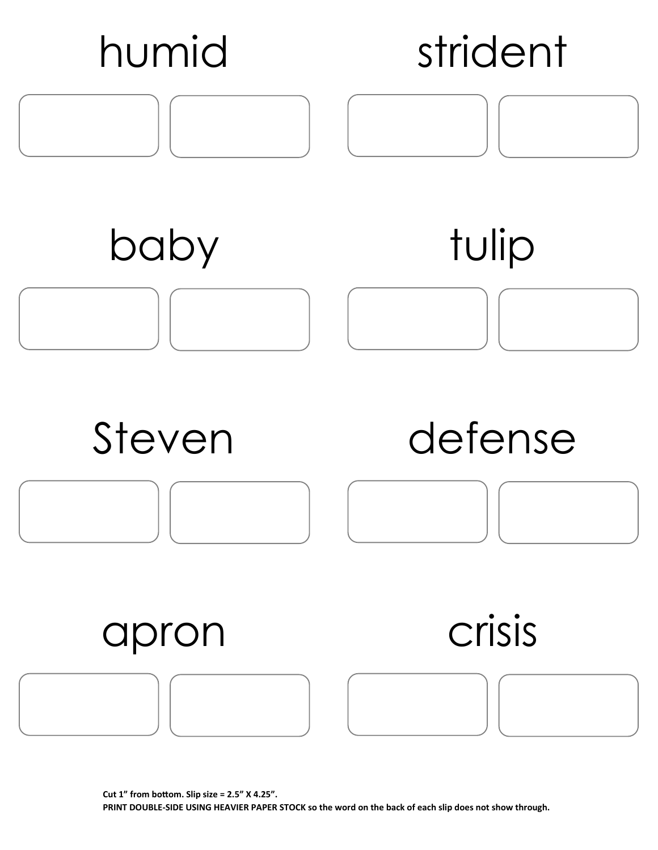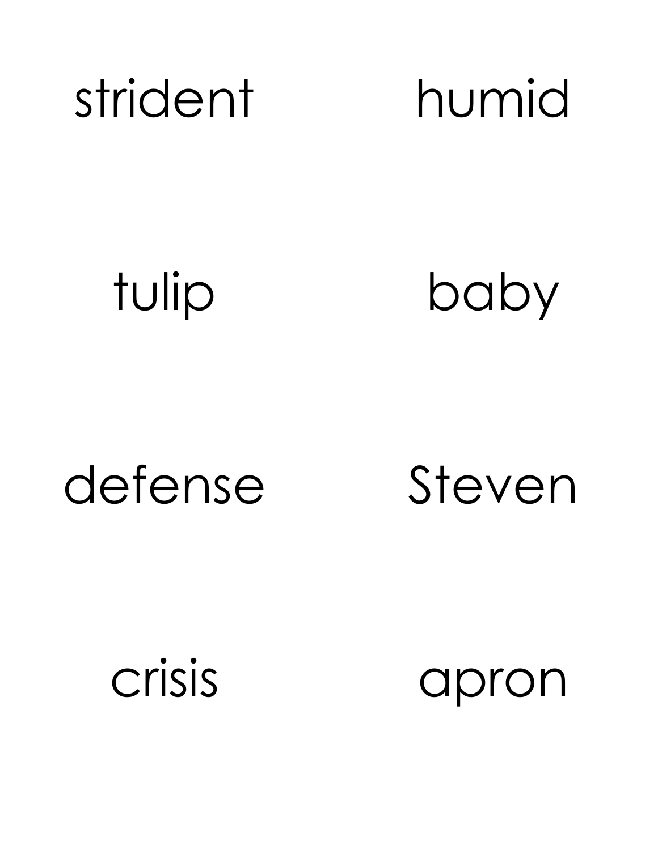

tulip

baby

### defense

Steven

crisis

apron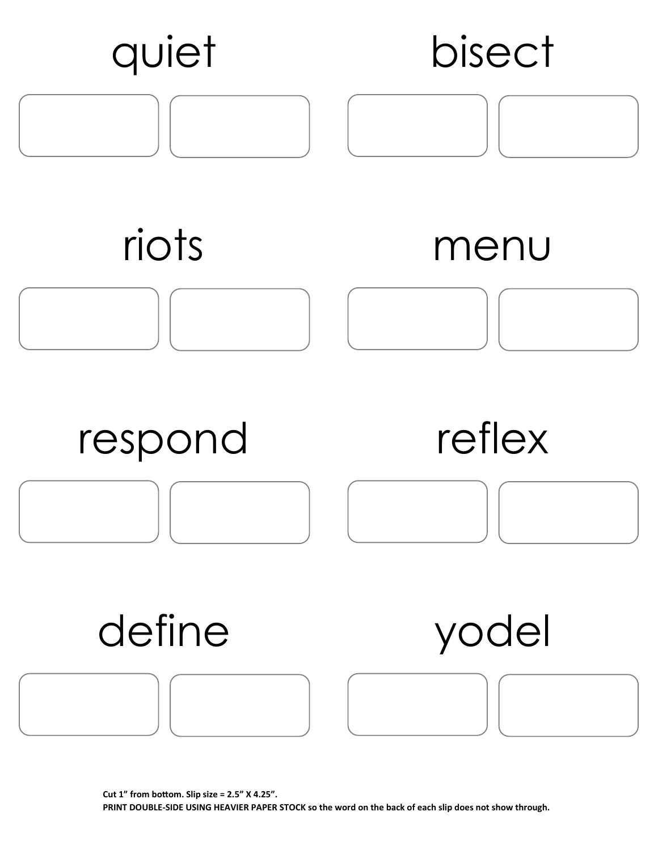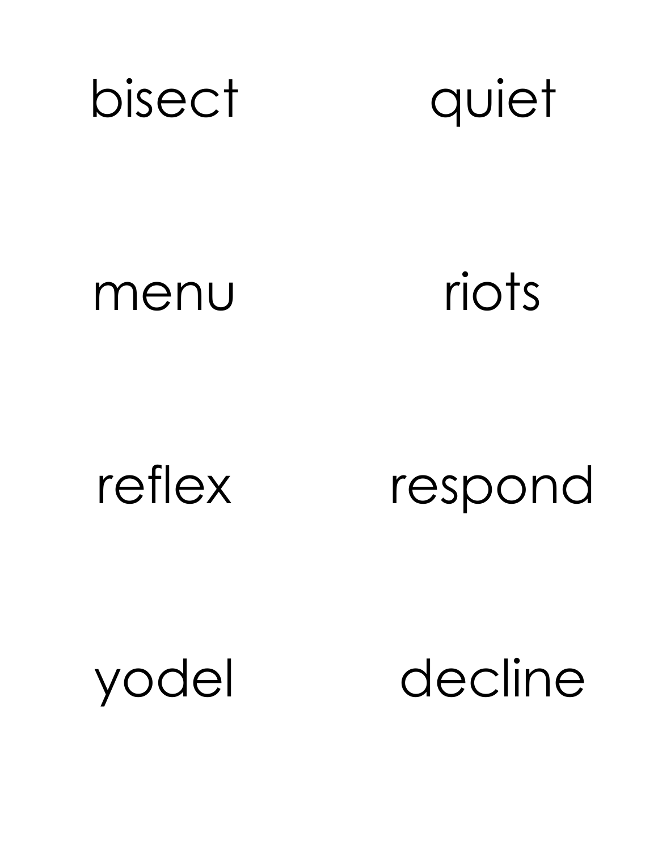



### menu riots

reflex respond

yodel decline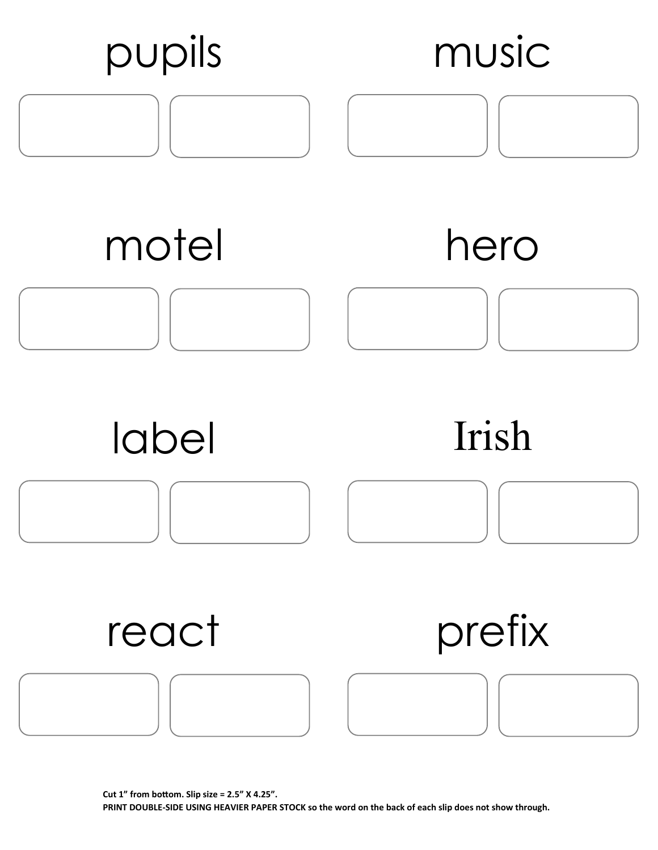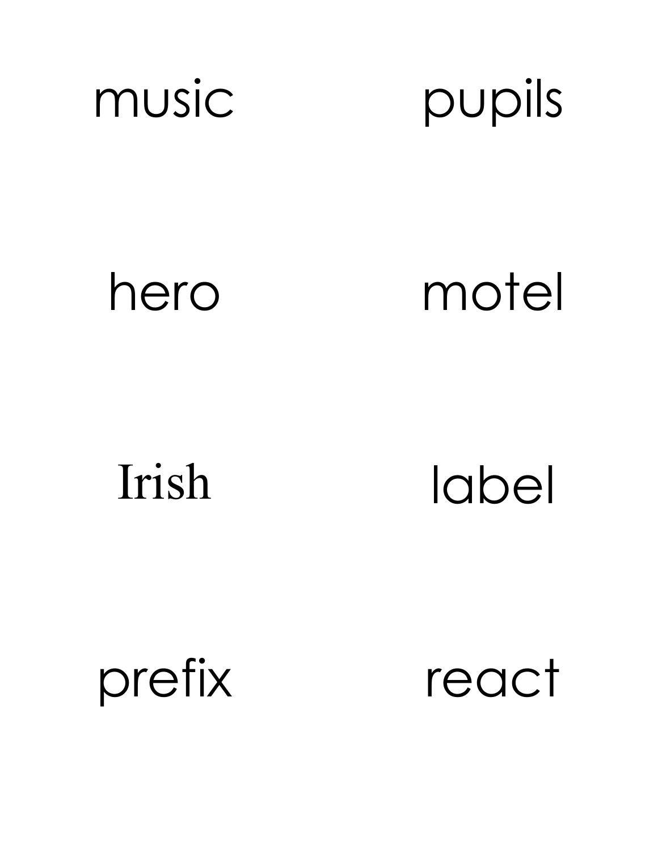



hero motel

Irish label

prefix react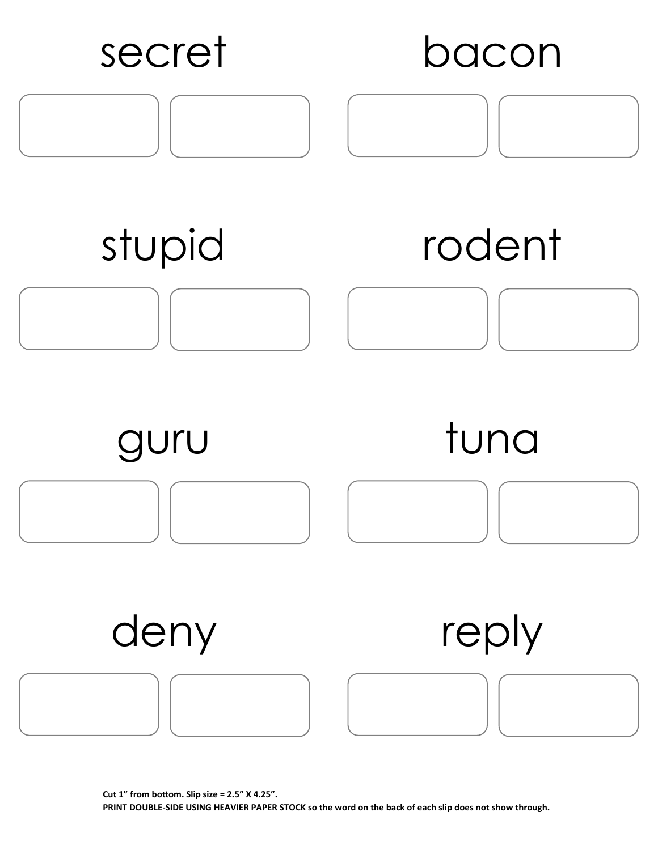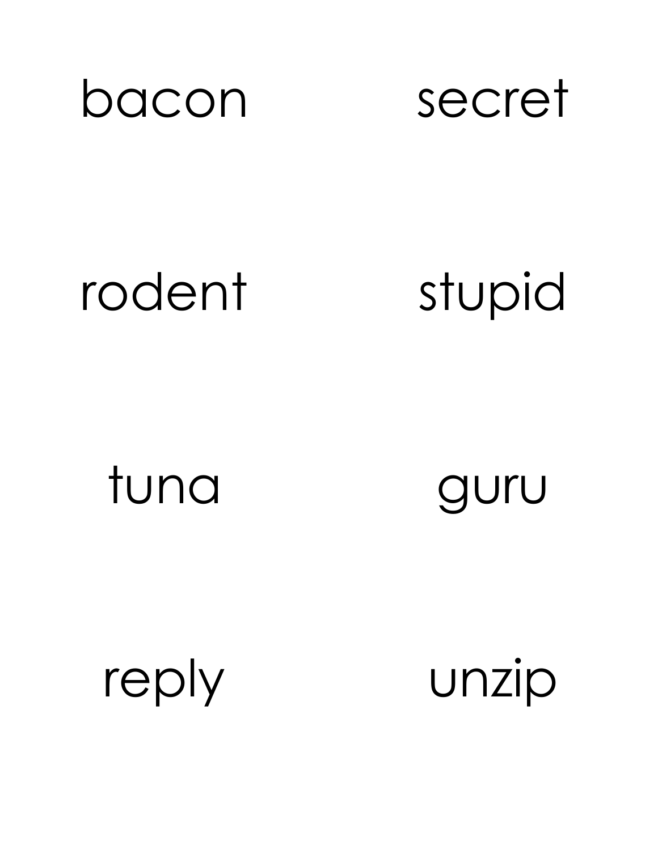



rodent

stupid

tuna

guru

reply

unzip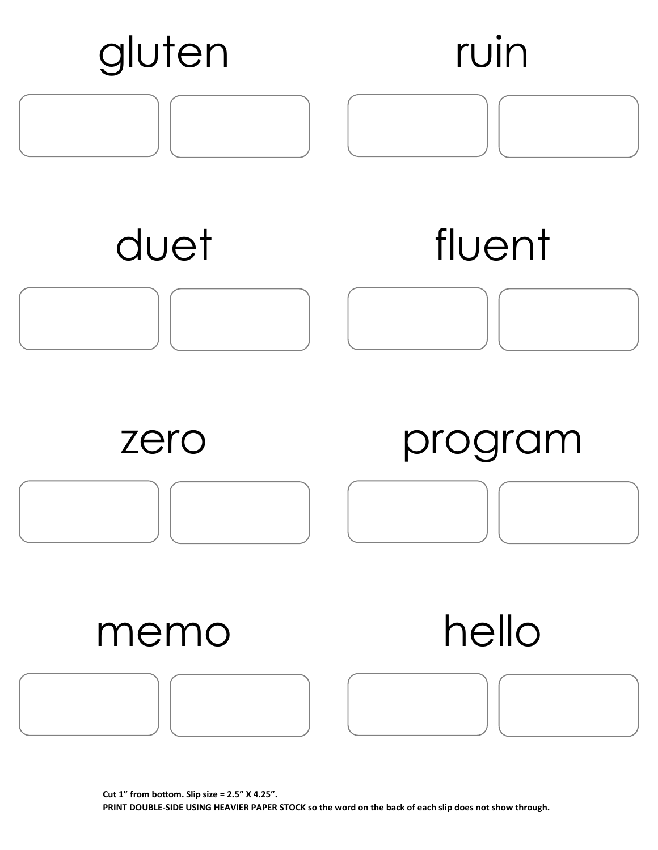